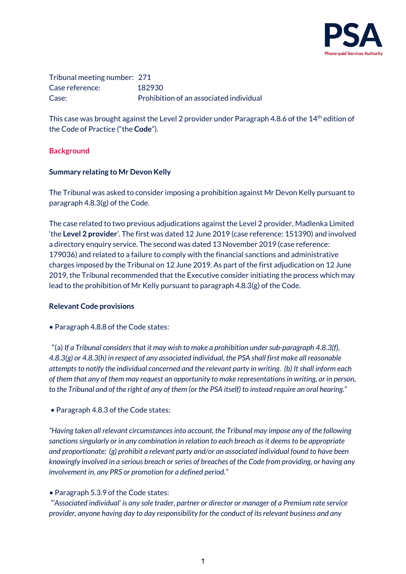

Tribunal meeting number: 271 Case reference: 182930 Case: Prohibition of an associated individual

This case was brought against the Level 2 provider under Paragraph 4.8.6 of the 14<sup>th</sup> edition of the Code of Practice ("the **Code**").

#### **Background**

#### **Summary relating to Mr Devon Kelly**

The Tribunal was asked to consider imposing a prohibition against Mr Devon Kelly pursuant to paragraph 4.8.3(g) of the Code.

The case related to two previous adjudications against the Level 2 provider, Madlenka Limited 'the **Level 2 provider**'. The first was dated 12 June 2019 (case reference: 151390) and involved a directory enquiry service. The second was dated 13 November 2019 (case reference: 179036) and related to a failure to comply with the financial sanctions and administrative charges imposed by the Tribunal on 12 June 2019. As part of the first adjudication on 12 June 2019, the Tribunal recommended that the Executive consider initiating the process which may lead to the prohibition of Mr Kelly pursuant to paragraph 4.8.3(g) of the Code.

#### **Relevant Code provisions**

• Paragraph 4.8.8 of the Code states:

 "(a) *If a Tribunal considers that it may wish to make a prohibition under sub-paragraph 4.8.3(f), 4.8.3(g) or 4.8.3(h) in respect of any associated individual, the PSA shall first make all reasonable attempts to notify the individual concerned and the relevant party in writing. (b) It shall inform each of them that any of them may request an opportunity to make representations in writing, or in person, to the Tribunal and of the right of any of them (or the PSA itself) to instead require an oral hearing.*"

• Paragraph 4.8.3 of the Code states:

*"Having taken all relevant circumstances into account, the Tribunal may impose any of the following sanctions singularly or in any combination in relation to each breach as it deems to be appropriate and proportionate: (g) prohibit a relevant party and/or an associated individual found to have been knowingly involved in a serious breach or series of breaches of the Code from providing, or having any involvement in, any PRS or promotion for a defined period."* 

*•* Paragraph 5.3.9 of the Code states:  

*"'Associated individual' is any sole trader, partner or director or manager of a Premium rate service provider, anyone having day to day responsibility for the conduct of its relevant business and any*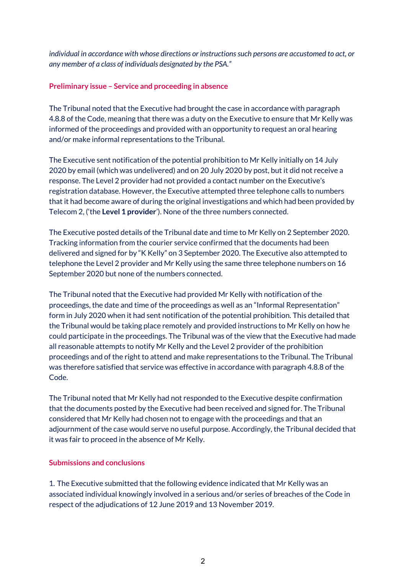*individual in accordance with whose directions or instructions such persons are accustomed to act, or any member of a class of individuals designated by the PSA."*

#### **Preliminary issue – Service and proceeding in absence**

The Tribunal noted that the Executive had brought the case in accordance with paragraph 4.8.8 of the Code, meaning that there was a duty on the Executive to ensure that Mr Kelly was informed of the proceedings and provided with an opportunity to request an oral hearing and/or make informal representations to the Tribunal.

The Executive sent notification of the potential prohibition to Mr Kelly initially on 14 July 2020 by email (which was undelivered) and on 20 July 2020 by post, but it did not receive a response. The Level 2 provider had not provided a contact number on the Executive's registration database. However, the Executive attempted three telephone calls to numbers that it had become aware of during the original investigations and which had been provided by Telecom 2, ('the **Level 1 provider**'). None of the three numbers connected.

The Executive posted details of the Tribunal date and time to Mr Kelly on 2 September 2020. Tracking information from the courier service confirmed that the documents had been delivered and signed for by "K Kelly" on 3 September 2020. The Executive also attempted to telephone the Level 2 provider and Mr Kelly using the same three telephone numbers on 16 September 2020 but none of the numbers connected.

The Tribunal noted that the Executive had provided Mr Kelly with notification of the proceedings, the date and time of the proceedings as well as an "Informal Representation" form in July 2020 when it had sent notification of the potential prohibition. This detailed that the Tribunal would be taking place remotely and provided instructions to Mr Kelly on how he could participate in the proceedings. The Tribunal was of the view that the Executive had made all reasonable attempts to notify Mr Kelly and the Level 2 provider of the prohibition proceedings and of the right to attend and make representations to the Tribunal. The Tribunal was therefore satisfied that service was effective in accordance with paragraph 4.8.8 of the Code.

The Tribunal noted that Mr Kelly had not responded to the Executive despite confirmation that the documents posted by the Executive had been received and signed for. The Tribunal considered that Mr Kelly had chosen not to engage with the proceedings and that an adjournment of the case would serve no useful purpose. Accordingly, the Tribunal decided that it was fair to proceed in the absence of Mr Kelly.

## **Submissions and conclusions**

1. The Executive submitted that the following evidence indicated that Mr Kelly was an associated individual knowingly involved in a serious and/or series of breaches of the Code in respect of the adjudications of 12 June 2019 and 13 November 2019.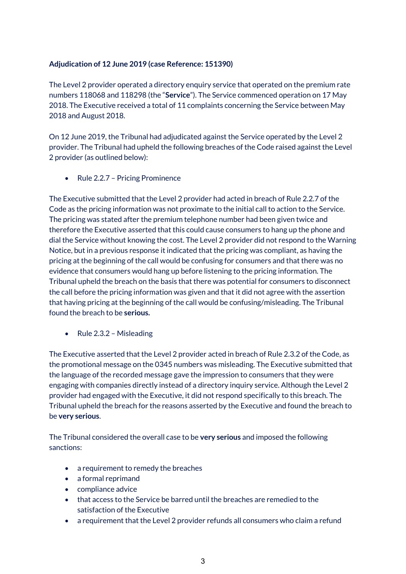# **Adjudication of 12 June 2019 (case Reference: 151390)**

The Level 2 provider operated a directory enquiry service that operated on the premium rate numbers 118068 and 118298 (the "**Service**"). The Service commenced operation on 17 May 2018. The Executive received a total of 11 complaints concerning the Service between May 2018 and August 2018.

On 12 June 2019, the Tribunal had adjudicated against the Service operated by the Level 2 provider. The Tribunal had upheld the following breaches of the Code raised against the Level 2 provider (as outlined below):

• Rule 2.2.7 – Pricing Prominence

The Executive submitted that the Level 2 provider had acted in breach of Rule 2.2.7 of the Code as the pricing information was not proximate to the initial call to action to the Service. The pricing was stated after the premium telephone number had been given twice and therefore the Executive asserted that this could cause consumers to hang up the phone and dial the Service without knowing the cost. The Level 2 provider did not respond to the Warning Notice, but in a previous response it indicated that the pricing was compliant, as having the pricing at the beginning of the call would be confusing for consumers and that there was no evidence that consumers would hang up before listening to the pricing information. The Tribunal upheld the breach on the basis that there was potential for consumers to disconnect the call before the pricing information was given and that it did not agree with the assertion that having pricing at the beginning of the call would be confusing/misleading. The Tribunal found the breach to be **serious.**

• Rule 2.3.2 – Misleading

The Executive asserted that the Level 2 provider acted in breach of Rule 2.3.2 of the Code, as the promotional message on the 0345 numbers was misleading. The Executive submitted that the language of the recorded message gave the impression to consumers that they were engaging with companies directly instead of a directory inquiry service. Although the Level 2 provider had engaged with the Executive, it did not respond specifically to this breach. The Tribunal upheld the breach for the reasons asserted by the Executive and found the breach to be **very serious**.

The Tribunal considered the overall case to be **very serious** and imposed the following sanctions:

- a requirement to remedy the breaches
- a formal reprimand
- compliance advice
- that access to the Service be barred until the breaches are remedied to the satisfaction of the Executive
- a requirement that the Level 2 provider refunds all consumers who claim a refund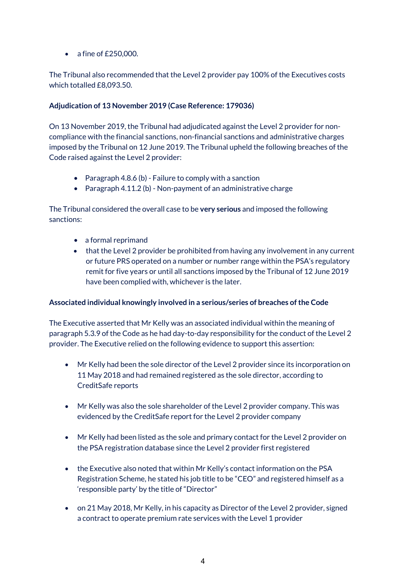• a fine of £250,000.

The Tribunal also recommended that the Level 2 provider pay 100% of the Executives costs which totalled £8,093.50.

# **Adjudication of 13 November 2019 (Case Reference: 179036)**

On 13 November 2019, the Tribunal had adjudicated against the Level 2 provider for noncompliance with the financial sanctions, non-financial sanctions and administrative charges imposed by the Tribunal on 12 June 2019. The Tribunal upheld the following breaches of the Code raised against the Level 2 provider:

- Paragraph 4.8.6 (b) Failure to comply with a sanction
- Paragraph 4.11.2 (b) Non-payment of an administrative charge

The Tribunal considered the overall case to be **very serious** and imposed the following sanctions:

- a formal reprimand
- that the Level 2 provider be prohibited from having any involvement in any current or future PRS operated on a number or number range within the PSA's regulatory remit for five years or until all sanctions imposed by the Tribunal of 12 June 2019 have been complied with, whichever is the later.

## **Associated individual knowingly involved in a serious/series of breaches of the Code**

The Executive asserted that Mr Kelly was an associated individual within the meaning of paragraph 5.3.9 of the Code as he had day-to-day responsibility for the conduct of the Level 2 provider. The Executive relied on the following evidence to support this assertion:

- Mr Kelly had been the sole director of the Level 2 provider since its incorporation on 11 May 2018 and had remained registered as the sole director, according to CreditSafe reports
- Mr Kelly was also the sole shareholder of the Level 2 provider company. This was evidenced by the CreditSafe report for the Level 2 provider company
- Mr Kelly had been listed as the sole and primary contact for the Level 2 provider on the PSA registration database since the Level 2 provider first registered
- the Executive also noted that within Mr Kelly's contact information on the PSA Registration Scheme, he stated his job title to be "CEO" and registered himself as a 'responsible party' by the title of "Director"
- on 21 May 2018, Mr Kelly, in his capacity as Director of the Level 2 provider, signed a contract to operate premium rate services with the Level 1 provider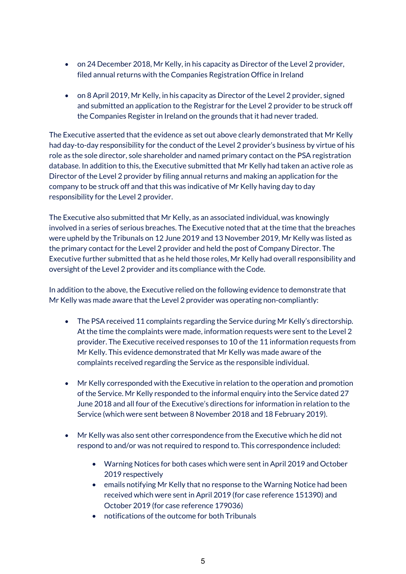- on 24 December 2018, Mr Kelly, in his capacity as Director of the Level 2 provider, filed annual returns with the Companies Registration Office in Ireland
- on 8 April 2019, Mr Kelly, in his capacity as Director of the Level 2 provider, signed and submitted an application to the Registrar for the Level 2 provider to be struck off the Companies Register in Ireland on the grounds that it had never traded.

The Executive asserted that the evidence as set out above clearly demonstrated that Mr Kelly had day-to-day responsibility for the conduct of the Level 2 provider's business by virtue of his role as the sole director, sole shareholder and named primary contact on the PSA registration database. In addition to this, the Executive submitted that Mr Kelly had taken an active role as Director of the Level 2 provider by filing annual returns and making an application for the company to be struck off and that this was indicative of Mr Kelly having day to day responsibility for the Level 2 provider.

The Executive also submitted that Mr Kelly, as an associated individual, was knowingly involved in a series of serious breaches. The Executive noted that at the time that the breaches were upheld by the Tribunals on 12 June 2019 and 13 November 2019, Mr Kelly was listed as the primary contact for the Level 2 provider and held the post of Company Director. The Executive further submitted that as he held those roles, Mr Kelly had overall responsibility and oversight of the Level 2 provider and its compliance with the Code.

In addition to the above, the Executive relied on the following evidence to demonstrate that Mr Kelly was made aware that the Level 2 provider was operating non-compliantly:

- The PSA received 11 complaints regarding the Service during Mr Kelly's directorship. At the time the complaints were made, information requests were sent to the Level 2 provider. The Executive received responses to 10 of the 11 information requests from Mr Kelly. This evidence demonstrated that Mr Kelly was made aware of the complaints received regarding the Service as the responsible individual.
- Mr Kelly corresponded with the Executive in relation to the operation and promotion of the Service. Mr Kelly responded to the informal enquiry into the Service dated 27 June 2018 and all four of the Executive's directions for information in relation to the Service (which were sent between 8 November 2018 and 18 February 2019).
- Mr Kelly was also sent other correspondence from the Executive which he did not respond to and/or was not required to respond to. This correspondence included:
	- Warning Notices for both cases which were sent in April 2019 and October 2019 respectively
	- emails notifying Mr Kelly that no response to the Warning Notice had been received which were sent in April 2019 (for case reference 151390) and October 2019 (for case reference 179036)
	- notifications of the outcome for both Tribunals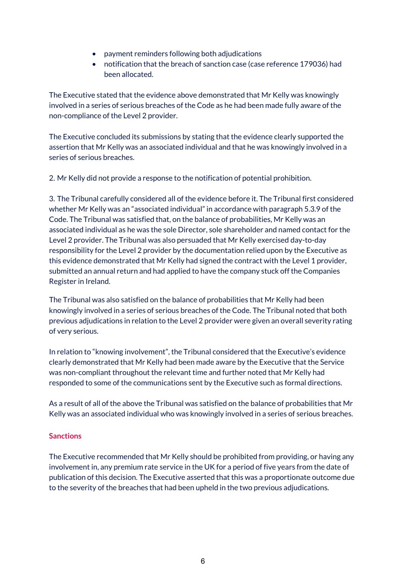- payment reminders following both adjudications
- notification that the breach of sanction case (case reference 179036) had been allocated.

The Executive stated that the evidence above demonstrated that Mr Kelly was knowingly involved in a series of serious breaches of the Code as he had been made fully aware of the non-compliance of the Level 2 provider.

The Executive concluded its submissions by stating that the evidence clearly supported the assertion that Mr Kelly was an associated individual and that he was knowingly involved in a series of serious breaches.

2. Mr Kelly did not provide a response to the notification of potential prohibition.

3. The Tribunal carefully considered all of the evidence before it. The Tribunal first considered whether Mr Kelly was an "associated individual" in accordance with paragraph 5.3.9 of the Code. The Tribunal was satisfied that, on the balance of probabilities, Mr Kelly was an associated individual as he was the sole Director, sole shareholder and named contact for the Level 2 provider. The Tribunal was also persuaded that Mr Kelly exercised day-to-day responsibility for the Level 2 provider by the documentation relied upon by the Executive as this evidence demonstrated that Mr Kelly had signed the contract with the Level 1 provider, submitted an annual return and had applied to have the company stuck off the Companies Register in Ireland.

The Tribunal was also satisfied on the balance of probabilities that Mr Kelly had been knowingly involved in a series of serious breaches of the Code. The Tribunal noted that both previous adjudications in relation to the Level 2 provider were given an overall severity rating of very serious.

In relation to "knowing involvement", the Tribunal considered that the Executive's evidence clearly demonstrated that Mr Kelly had been made aware by the Executive that the Service was non-compliant throughout the relevant time and further noted that Mr Kelly had responded to some of the communications sent by the Executive such as formal directions.

As a result of all of the above the Tribunal was satisfied on the balance of probabilities that Mr Kelly was an associated individual who was knowingly involved in a series of serious breaches.

## **Sanctions**

The Executive recommended that Mr Kelly should be prohibited from providing, or having any involvement in, any premium rate service in the UK for a period of five years from the date of publication of this decision. The Executive asserted that this was a proportionate outcome due to the severity of the breaches that had been upheld in the two previous adjudications.